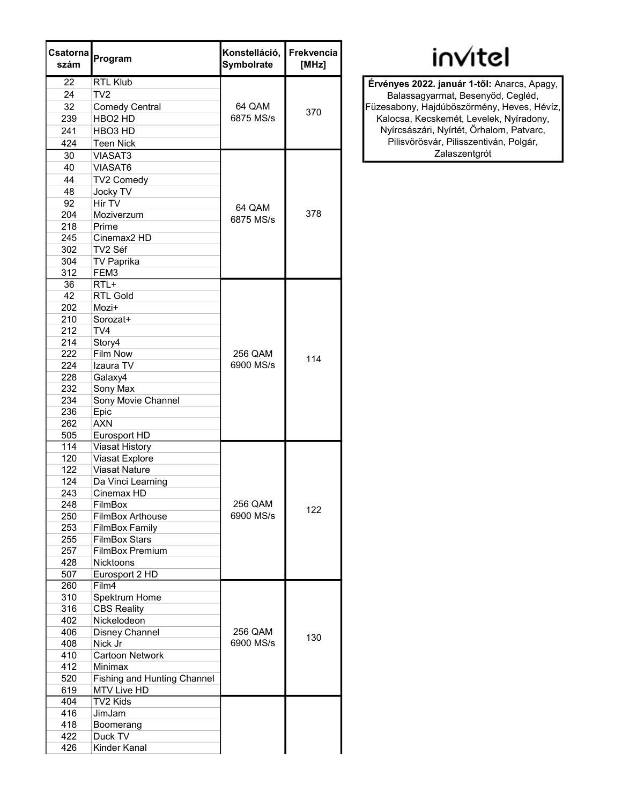| Csatorna<br>szám | Program                            | Konstelláció,<br><b>Symbolrate</b> | <b>Frekvencia</b><br>[MHz] |
|------------------|------------------------------------|------------------------------------|----------------------------|
| 22               | <b>RTL Klub</b>                    |                                    |                            |
| 24               | TV2                                |                                    |                            |
| 32               | <b>Comedy Central</b>              | 64 QAM                             | 370                        |
| 239              | HBO <sub>2</sub> HD                | 6875 MS/s                          |                            |
| 241              | HBO <sub>3</sub> HD                |                                    |                            |
| 424              | <b>Teen Nick</b>                   |                                    |                            |
| 30               | <b>VIASAT3</b>                     |                                    |                            |
| 40               | VIASAT6                            |                                    |                            |
| 44               | TV2 Comedy                         |                                    | 378                        |
| 48               | Jocky TV                           |                                    |                            |
| 92               | Hír TV                             |                                    |                            |
| 204              | Moziverzum                         | 64 QAM<br>6875 MS/s                |                            |
| 218              | Prime                              |                                    |                            |
| 245              | Cinemax <sub>2</sub> HD            |                                    |                            |
| 302              | TV2 Séf                            |                                    |                            |
| 304              | <b>TV Paprika</b>                  |                                    |                            |
|                  |                                    |                                    |                            |
| 312<br>36        | FEM3<br>RTL+                       |                                    |                            |
| 42               | <b>RTL Gold</b>                    |                                    |                            |
|                  |                                    |                                    |                            |
| 202<br>210       | Mozi+                              |                                    |                            |
|                  | Sorozat+                           |                                    |                            |
| 212              | TV4                                |                                    |                            |
| 214              | Story4                             |                                    |                            |
| 222              | <b>Film Now</b>                    | 256 QAM                            | 114                        |
| 224              | Izaura TV                          | 6900 MS/s                          |                            |
| 228              | Galaxy4                            |                                    |                            |
| 232              | Sony Max                           |                                    |                            |
| 234              | Sony Movie Channel                 |                                    |                            |
| 236              | Epic                               |                                    |                            |
| 262              | <b>AXN</b>                         |                                    |                            |
| 505              | Eurosport HD                       |                                    |                            |
| 114              | <b>Viasat History</b>              |                                    |                            |
| 120              | Viasat Explore                     |                                    |                            |
| 122              | <b>Viasat Nature</b>               |                                    |                            |
| 124              | Da Vinci Learning                  |                                    |                            |
| 243              | Cinemax HD                         |                                    |                            |
| 248              | FilmBox                            | 256 QAM                            | 122                        |
| 250              | <b>FilmBox Arthouse</b>            | 6900 MS/s                          |                            |
| 253              | <b>FilmBox Family</b>              |                                    |                            |
| 255              | <b>FilmBox Stars</b>               |                                    |                            |
| 257              | <b>FilmBox Premium</b>             |                                    |                            |
| 428              | Nicktoons                          |                                    |                            |
| 507              | Eurosport 2 HD                     |                                    |                            |
| 260              | Film4                              |                                    |                            |
| 310              | Spektrum Home                      |                                    |                            |
| 316              | <b>CBS Reality</b>                 |                                    | 130                        |
| 402              | Nickelodeon                        |                                    |                            |
| 406              | Disney Channel                     | 256 QAM                            |                            |
| 408              | Nick Jr                            | 6900 MS/s                          |                            |
| 410              | Cartoon Network                    |                                    |                            |
| 412              | Minimax                            |                                    |                            |
| 520              | <b>Fishing and Hunting Channel</b> |                                    |                            |
| 619              | MTV Live HD                        |                                    |                            |
| 404              | TV2 Kids                           |                                    |                            |
| 416              | JimJam                             |                                    |                            |
| 418              | Boomerang                          |                                    |                            |
| 422              | Duck TV                            |                                    |                            |
| 426              | Kinder Kanal                       |                                    |                            |

## invitel

Érvényes 2022. január 1-től: Anarcs, Apagy, Balassagyarmat, Besenyőd, Cegléd, Füzesabony, Hajdúböszörmény, Heves, Hévíz, Kalocsa, Kecskemét, Levelek, Nyíradony, Nyírcsászári, Nyírtét, Őrhalom, Patvarc, Pilisvörösvár, Pilisszentiván, Polgár, Zalaszentgrót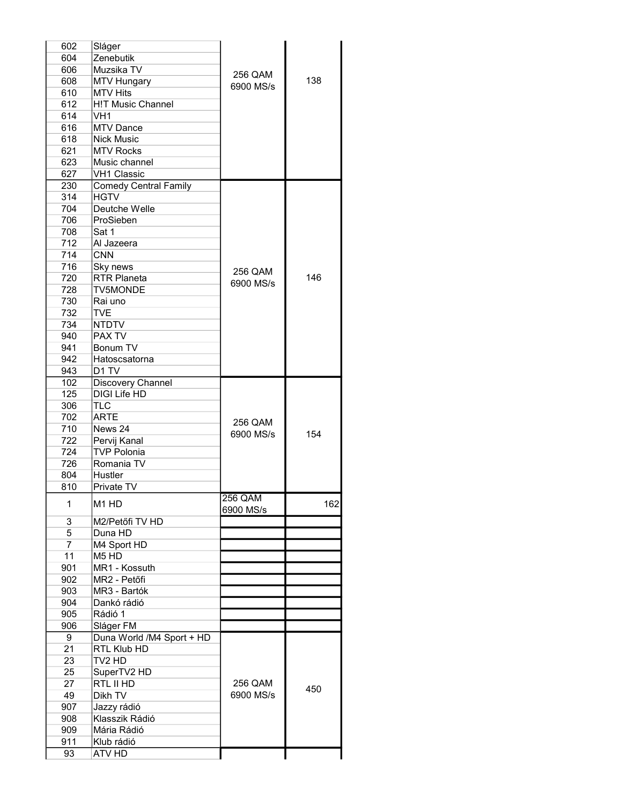| 602            | Sláger                        |           |     |
|----------------|-------------------------------|-----------|-----|
| 604            | Zenebutik                     |           |     |
| 606            | Muzsika TV                    |           |     |
| 608            | <b>MTV Hungary</b>            | 256 QAM   | 138 |
| 610            | <b>MTV Hits</b>               | 6900 MS/s |     |
| 612            | <b>H!T Music Channel</b>      |           |     |
| 614            | VH <sub>1</sub>               |           |     |
| 616            | <b>MTV Dance</b>              |           |     |
| 618            | <b>Nick Music</b>             |           |     |
| 621            | <b>MTV Rocks</b>              |           |     |
| 623            | Music channel                 |           |     |
|                |                               |           |     |
| 627            | <b>VH1 Classic</b>            |           |     |
| 230            | <b>Comedy Central Family</b>  |           |     |
| 314            | <b>HGTV</b>                   |           |     |
| 704            | Deutche Welle                 |           |     |
| 706            | ProSieben                     |           |     |
| 708            | Sat 1                         |           |     |
| 712            | Al Jazeera                    |           |     |
| 714            | <b>CNN</b>                    |           |     |
| 716            | Sky news                      | 256 QAM   |     |
| 720            | <b>RTR Planeta</b>            | 6900 MS/s | 146 |
| 728            | <b>TV5MONDE</b>               |           |     |
| 730            | Rai uno                       |           |     |
| 732            | TVE                           |           |     |
| 734            | <b>NTDTV</b>                  |           |     |
| 940            | PAX TV                        |           |     |
| 941            | Bonum TV                      |           |     |
| 942            | Hatoscsatorna                 |           |     |
| 943            | D <sub>1</sub> TV             |           |     |
| 102            | Discovery Channel             |           |     |
| 125            | <b>DIGI Life HD</b>           |           |     |
| 306            | TLC                           |           |     |
| 702            | <b>ARTE</b>                   |           |     |
| 710            | News 24                       | 256 QAM   |     |
| 722            | Pervij Kanal                  | 6900 MS/s | 154 |
| 724            | <b>TVP Polonia</b>            |           |     |
| 726            | Romania TV                    |           |     |
| 804            | Hustler                       |           |     |
| 810            | Private TV                    |           |     |
|                |                               | 256 QAM   |     |
| 1              | M <sub>1</sub> H <sub>D</sub> |           | 162 |
|                |                               | 6900 MS/s |     |
| 3              | M2/Petőfi TV HD               |           |     |
| 5              | Duna HD                       |           |     |
| $\overline{7}$ | M4 Sport HD                   |           |     |
| 11             | M <sub>5</sub> H <sub>D</sub> |           |     |
| 901            | MR1 - Kossuth                 |           |     |
| 902            | MR2 - Petőfi                  |           |     |
| 903            | MR3 - Bartók                  |           |     |
| 904            | Dankó rádió                   |           |     |
| 905            | Rádió 1                       |           |     |
| 906            | Sláger FM                     |           |     |
| 9              | Duna World /M4 Sport + HD     |           |     |
| 21             | RTL Klub HD                   |           |     |
| 23             | TV2 HD                        |           |     |
| 25             | SuperTV2 HD                   |           |     |
| 27             | RTL II HD                     | 256 QAM   |     |
| 49             | Dikh TV                       | 6900 MS/s | 450 |
| 907            | Jazzy rádió                   |           |     |
| 908            | Klasszik Rádió                |           |     |
| 909            | Mária Rádió                   |           |     |
| 911            | Klub rádió                    |           |     |
| 93             | ATV HD                        |           |     |
|                |                               |           |     |